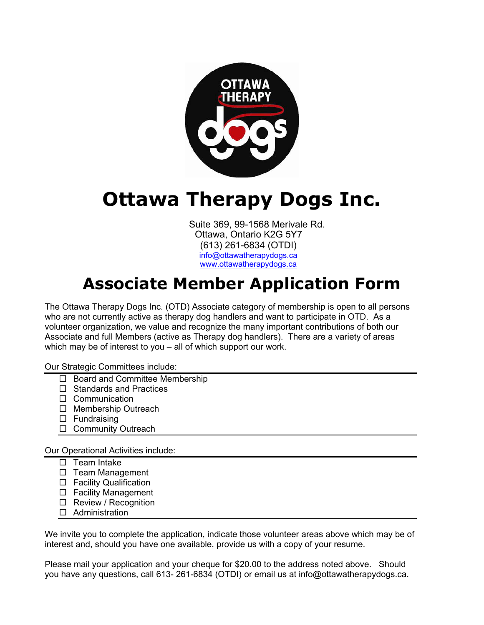

## **Ottawa Therapy Dogs Inc.**

Suite 369, 99-1568 Merivale Rd. Ottawa, Ontario K2G 5Y7 (613) 261-6834 (OTDI) info@ottawatherapydogs.ca www.ottawatherapydogs.ca

## **Associate Member Application Form**

The Ottawa Therapy Dogs Inc. (OTD) Associate category of membership is open to all persons who are not currently active as therapy dog handlers and want to participate in OTD. As a volunteer organization, we value and recognize the many important contributions of both our Associate and full Members (active as Therapy dog handlers). There are a variety of areas which may be of interest to you – all of which support our work.

Our Strategic Committees include:

- $\Box$  Board and Committee Membership
- $\Box$  Standards and Practices
- $\Box$  Communication
- $\Box$  Membership Outreach
- $\square$  Fundraising
- □ Community Outreach

Our Operational Activities include:

- $\Box$  Team Intake
- $\Box$  Team Management
- □ Facility Qualification
- □ Facility Management
- □ Review / Recognition
- $\Box$  Administration

We invite you to complete the application, indicate those volunteer areas above which may be of interest and, should you have one available, provide us with a copy of your resume.

Please mail your application and your cheque for \$20.00 to the address noted above. Should you have any questions, call 613- 261-6834 (OTDI) or email us at info@ottawatherapydogs.ca.